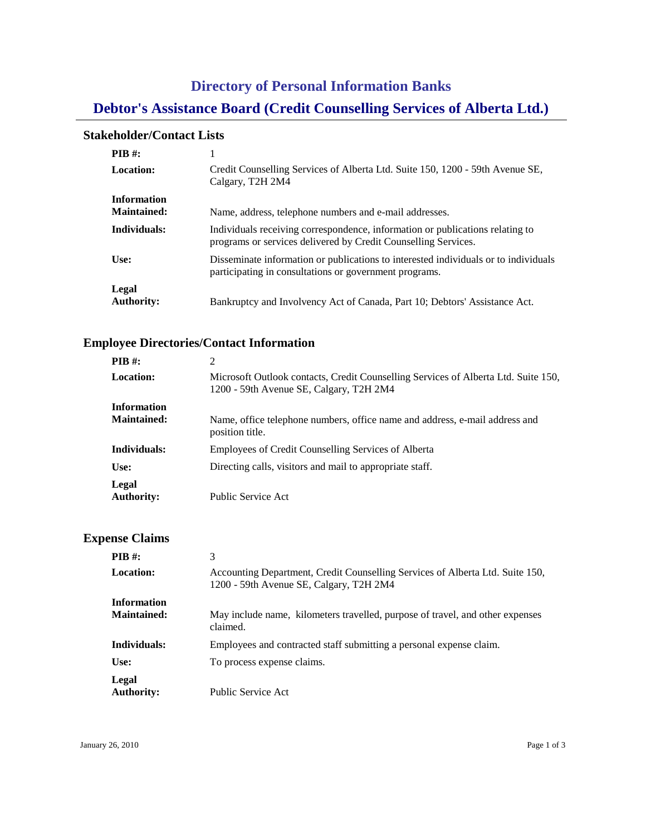# **Directory of Personal Information Banks Debtor's Assistance Board (Credit Counselling Services of Alberta Ltd.)**

#### **Stakeholder/Contact Lists**

| <b>PIB</b> #:                            |                                                                                                                                                 |
|------------------------------------------|-------------------------------------------------------------------------------------------------------------------------------------------------|
| <b>Location:</b>                         | Credit Counselling Services of Alberta Ltd. Suite 150, 1200 - 59th Avenue SE,<br>Calgary, T2H 2M4                                               |
| <b>Information</b><br><b>Maintained:</b> | Name, address, telephone numbers and e-mail addresses.                                                                                          |
| Individuals:                             | Individuals receiving correspondence, information or publications relating to<br>programs or services delivered by Credit Counselling Services. |
| Use:                                     | Disseminate information or publications to interested individuals or to individuals<br>participating in consultations or government programs.   |
| Legal<br><b>Authority:</b>               | Bankruptcy and Involvency Act of Canada, Part 10; Debtors' Assistance Act.                                                                      |

### **Employee Directories/Contact Information**

| <b>PIB</b> #:                            | 2                                                                                                                             |
|------------------------------------------|-------------------------------------------------------------------------------------------------------------------------------|
| <b>Location:</b>                         | Microsoft Outlook contacts, Credit Counselling Services of Alberta Ltd. Suite 150,<br>1200 - 59th Avenue SE, Calgary, T2H 2M4 |
| <b>Information</b><br><b>Maintained:</b> | Name, office telephone numbers, office name and address, e-mail address and<br>position title.                                |
| Individuals:                             | Employees of Credit Counselling Services of Alberta                                                                           |
| Use:                                     | Directing calls, visitors and mail to appropriate staff.                                                                      |
| Legal<br><b>Authority:</b>               | Public Service Act                                                                                                            |

#### **Expense Claims**

| <b>PIB</b> $#$ :                         | 3                                                                                                                        |
|------------------------------------------|--------------------------------------------------------------------------------------------------------------------------|
| <b>Location:</b>                         | Accounting Department, Credit Counselling Services of Alberta Ltd. Suite 150,<br>1200 - 59th Avenue SE, Calgary, T2H 2M4 |
| <b>Information</b><br><b>Maintained:</b> | May include name, kilometers travelled, purpose of travel, and other expenses<br>claimed.                                |
| Individuals:                             | Employees and contracted staff submitting a personal expense claim.                                                      |
| Use:                                     | To process expense claims.                                                                                               |
| Legal<br><b>Authority:</b>               | Public Service Act                                                                                                       |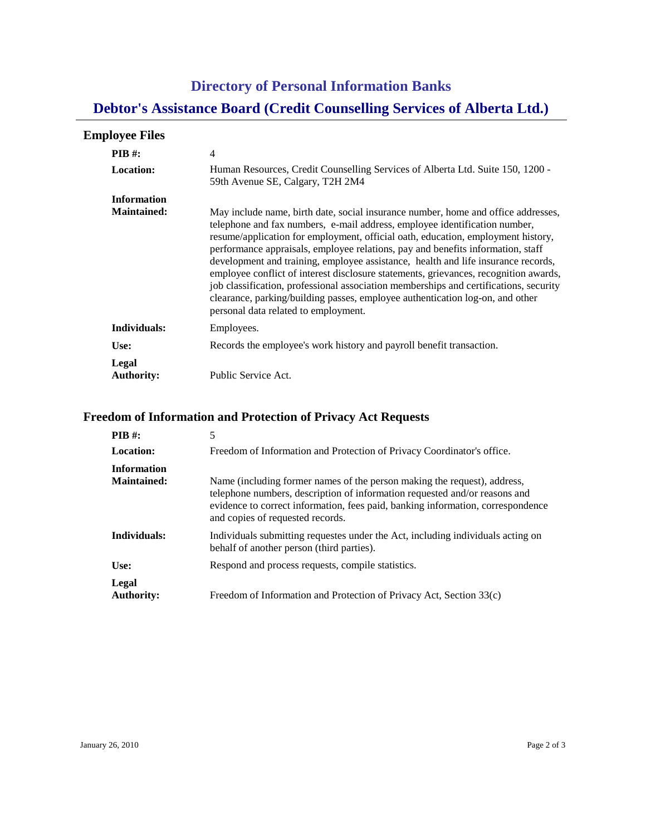# **Directory of Personal Information Banks Debtor's Assistance Board (Credit Counselling Services of Alberta Ltd.)**

### **Employee Files**

| <b>PIB</b> #:<br>Location:               | 4<br>Human Resources, Credit Counselling Services of Alberta Ltd. Suite 150, 1200 -<br>59th Avenue SE, Calgary, T2H 2M4                                                                                                                                                                                                                                                                                                                                                                                                                                                                                                                                                                                                               |
|------------------------------------------|---------------------------------------------------------------------------------------------------------------------------------------------------------------------------------------------------------------------------------------------------------------------------------------------------------------------------------------------------------------------------------------------------------------------------------------------------------------------------------------------------------------------------------------------------------------------------------------------------------------------------------------------------------------------------------------------------------------------------------------|
| <b>Information</b><br><b>Maintained:</b> | May include name, birth date, social insurance number, home and office addresses,<br>telephone and fax numbers, e-mail address, employee identification number,<br>resume/application for employment, official oath, education, employment history,<br>performance appraisals, employee relations, pay and benefits information, staff<br>development and training, employee assistance, health and life insurance records,<br>employee conflict of interest disclosure statements, grievances, recognition awards,<br>job classification, professional association memberships and certifications, security<br>clearance, parking/building passes, employee authentication log-on, and other<br>personal data related to employment. |
| Individuals:                             | Employees.                                                                                                                                                                                                                                                                                                                                                                                                                                                                                                                                                                                                                                                                                                                            |
| Use:                                     | Records the employee's work history and payroll benefit transaction.                                                                                                                                                                                                                                                                                                                                                                                                                                                                                                                                                                                                                                                                  |
| Legal<br><b>Authority:</b>               | Public Service Act.                                                                                                                                                                                                                                                                                                                                                                                                                                                                                                                                                                                                                                                                                                                   |

### **Freedom of Information and Protection of Privacy Act Requests**

| PIB #:                                   | 5                                                                                                                                                                                                                                                                             |
|------------------------------------------|-------------------------------------------------------------------------------------------------------------------------------------------------------------------------------------------------------------------------------------------------------------------------------|
| Location:                                | Freedom of Information and Protection of Privacy Coordinator's office.                                                                                                                                                                                                        |
| <b>Information</b><br><b>Maintained:</b> | Name (including former names of the person making the request), address,<br>telephone numbers, description of information requested and/or reasons and<br>evidence to correct information, fees paid, banking information, correspondence<br>and copies of requested records. |
| Individuals:                             | Individuals submitting requestes under the Act, including individuals acting on<br>behalf of another person (third parties).                                                                                                                                                  |
| Use:                                     | Respond and process requests, compile statistics.                                                                                                                                                                                                                             |
| Legal<br><b>Authority:</b>               | Freedom of Information and Protection of Privacy Act, Section 33(c)                                                                                                                                                                                                           |